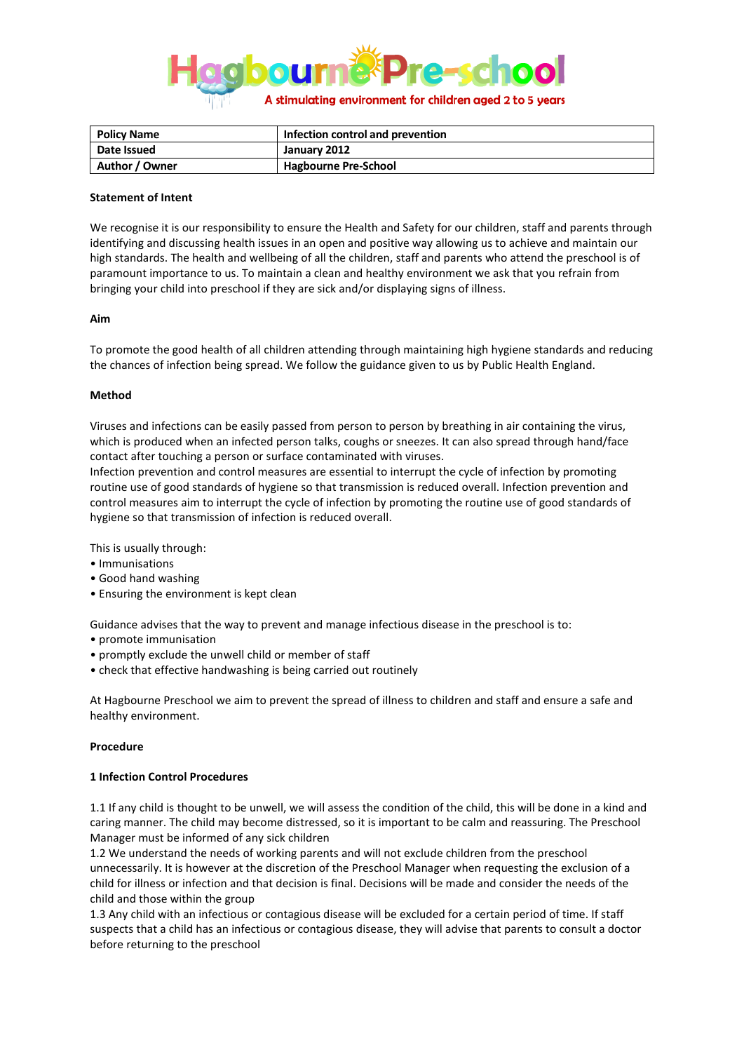

| Policy Name    | Infection control and prevention |
|----------------|----------------------------------|
| Date Issued    | January 2012                     |
| Author / Owner | <b>Hagbourne Pre-School</b>      |

#### **Statement of Intent**

We recognise it is our responsibility to ensure the Health and Safety for our children, staff and parents through identifying and discussing health issues in an open and positive way allowing us to achieve and maintain our high standards. The health and wellbeing of all the children, staff and parents who attend the preschool is of paramount importance to us. To maintain a clean and healthy environment we ask that you refrain from bringing your child into preschool if they are sick and/or displaying signs of illness.

#### **Aim**

To promote the good health of all children attending through maintaining high hygiene standards and reducing the chances of infection being spread. We follow the guidance given to us by Public Health England.

#### **Method**

Viruses and infections can be easily passed from person to person by breathing in air containing the virus, which is produced when an infected person talks, coughs or sneezes. It can also spread through hand/face contact after touching a person or surface contaminated with viruses.

Infection prevention and control measures are essential to interrupt the cycle of infection by promoting routine use of good standards of hygiene so that transmission is reduced overall. Infection prevention and control measures aim to interrupt the cycle of infection by promoting the routine use of good standards of hygiene so that transmission of infection is reduced overall.

This is usually through:

- Immunisations
- Good hand washing
- Ensuring the environment is kept clean

Guidance advises that the way to prevent and manage infectious disease in the preschool is to:

- promote immunisation
- promptly exclude the unwell child or member of staff
- check that effective handwashing is being carried out routinely

At Hagbourne Preschool we aim to prevent the spread of illness to children and staff and ensure a safe and healthy environment.

#### **Procedure**

## **1 Infection Control Procedures**

1.1 If any child is thought to be unwell, we will assess the condition of the child, this will be done in a kind and caring manner. The child may become distressed, so it is important to be calm and reassuring. The Preschool Manager must be informed of any sick children

1.2 We understand the needs of working parents and will not exclude children from the preschool unnecessarily. It is however at the discretion of the Preschool Manager when requesting the exclusion of a child for illness or infection and that decision is final. Decisions will be made and consider the needs of the child and those within the group

1.3 Any child with an infectious or contagious disease will be excluded for a certain period of time. If staff suspects that a child has an infectious or contagious disease, they will advise that parents to consult a doctor before returning to the preschool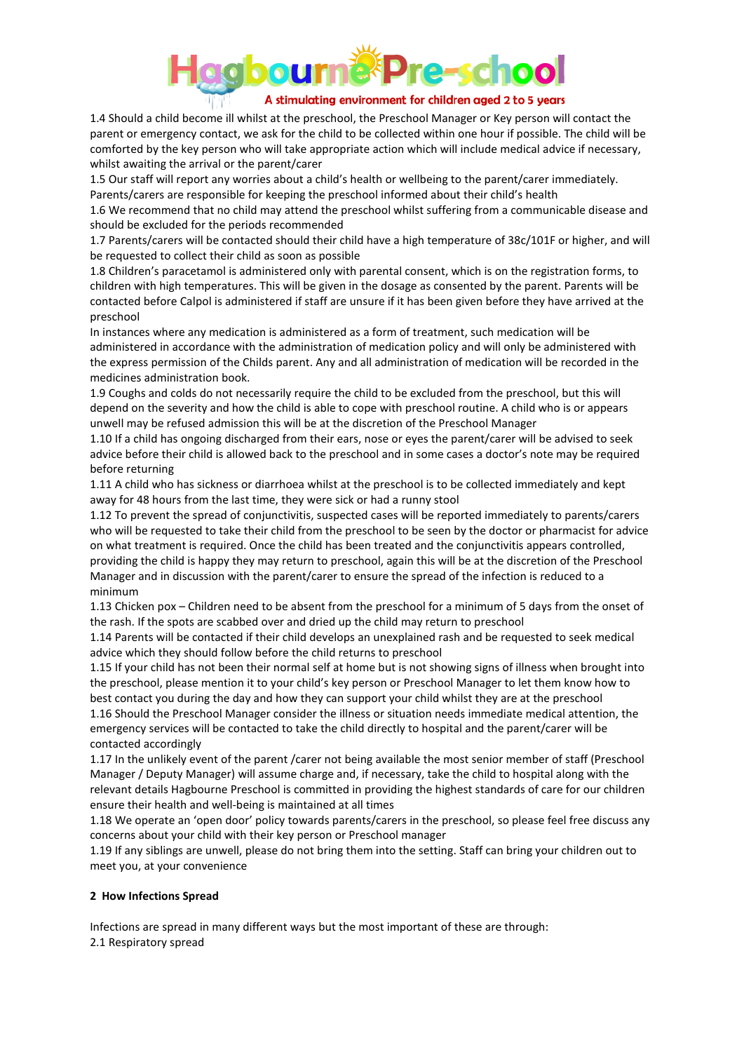

1.4 Should a child become ill whilst at the preschool, the Preschool Manager or Key person will contact the parent or emergency contact, we ask for the child to be collected within one hour if possible. The child will be comforted by the key person who will take appropriate action which will include medical advice if necessary, whilst awaiting the arrival or the parent/carer

1.5 Our staff will report any worries about a child's health or wellbeing to the parent/carer immediately. Parents/carers are responsible for keeping the preschool informed about their child's health

1.6 We recommend that no child may attend the preschool whilst suffering from a communicable disease and should be excluded for the periods recommended

1.7 Parents/carers will be contacted should their child have a high temperature of 38c/101F or higher, and will be requested to collect their child as soon as possible

1.8 Children's paracetamol is administered only with parental consent, which is on the registration forms, to children with high temperatures. This will be given in the dosage as consented by the parent. Parents will be contacted before Calpol is administered if staff are unsure if it has been given before they have arrived at the preschool

In instances where any medication is administered as a form of treatment, such medication will be administered in accordance with the administration of medication policy and will only be administered with the express permission of the Childs parent. Any and all administration of medication will be recorded in the medicines administration book.

1.9 Coughs and colds do not necessarily require the child to be excluded from the preschool, but this will depend on the severity and how the child is able to cope with preschool routine. A child who is or appears unwell may be refused admission this will be at the discretion of the Preschool Manager

1.10 If a child has ongoing discharged from their ears, nose or eyes the parent/carer will be advised to seek advice before their child is allowed back to the preschool and in some cases a doctor's note may be required before returning

1.11 A child who has sickness or diarrhoea whilst at the preschool is to be collected immediately and kept away for 48 hours from the last time, they were sick or had a runny stool

1.12 To prevent the spread of conjunctivitis, suspected cases will be reported immediately to parents/carers who will be requested to take their child from the preschool to be seen by the doctor or pharmacist for advice on what treatment is required. Once the child has been treated and the conjunctivitis appears controlled, providing the child is happy they may return to preschool, again this will be at the discretion of the Preschool Manager and in discussion with the parent/carer to ensure the spread of the infection is reduced to a minimum

1.13 Chicken pox – Children need to be absent from the preschool for a minimum of 5 days from the onset of the rash. If the spots are scabbed over and dried up the child may return to preschool

1.14 Parents will be contacted if their child develops an unexplained rash and be requested to seek medical advice which they should follow before the child returns to preschool

1.15 If your child has not been their normal self at home but is not showing signs of illness when brought into the preschool, please mention it to your child's key person or Preschool Manager to let them know how to best contact you during the day and how they can support your child whilst they are at the preschool 1.16 Should the Preschool Manager consider the illness or situation needs immediate medical attention, the

emergency services will be contacted to take the child directly to hospital and the parent/carer will be contacted accordingly

1.17 In the unlikely event of the parent /carer not being available the most senior member of staff (Preschool Manager / Deputy Manager) will assume charge and, if necessary, take the child to hospital along with the relevant details Hagbourne Preschool is committed in providing the highest standards of care for our children ensure their health and well-being is maintained at all times

1.18 We operate an 'open door' policy towards parents/carers in the preschool, so please feel free discuss any concerns about your child with their key person or Preschool manager

1.19 If any siblings are unwell, please do not bring them into the setting. Staff can bring your children out to meet you, at your convenience

# **2 How Infections Spread**

Infections are spread in many different ways but the most important of these are through: 2.1 Respiratory spread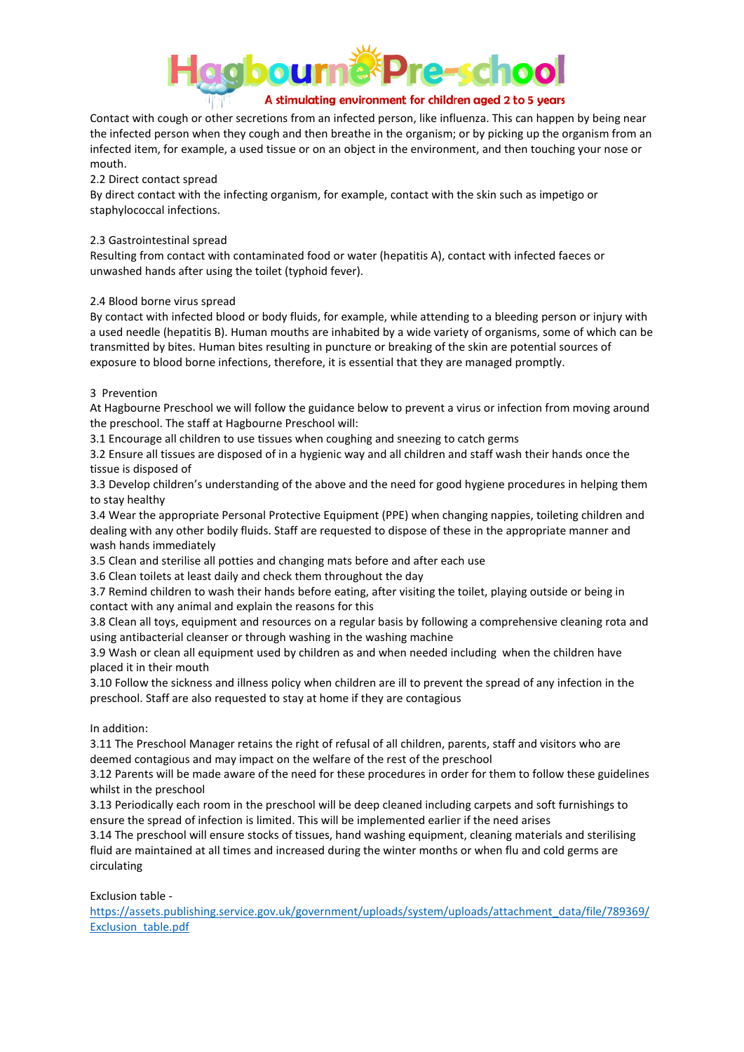

Contact with cough or other secretions from an infected person, like influenza. This can happen by being near the infected person when they cough and then breathe in the organism; or by picking up the organism from an infected item, for example, a used tissue or on an object in the environment, and then touching your nose or mouth.

# 2.2 Direct contact spread

By direct contact with the infecting organism, for example, contact with the skin such as impetigo or staphylococcal infections.

# 2.3 Gastrointestinal spread

Resulting from contact with contaminated food or water (hepatitis A), contact with infected faeces or unwashed hands after using the toilet (typhoid fever).

# 2.4 Blood borne virus spread

By contact with infected blood or body fluids, for example, while attending to a bleeding person or injury with a used needle (hepatitis B). Human mouths are inhabited by a wide variety of organisms, some of which can be transmitted by bites. Human bites resulting in puncture or breaking of the skin are potential sources of exposure to blood borne infections, therefore, it is essential that they are managed promptly.

## 3 Prevention

At Hagbourne Preschool we will follow the guidance below to prevent a virus or infection from moving around the preschool. The staff at Hagbourne Preschool will:

3.1 Encourage all children to use tissues when coughing and sneezing to catch germs

3.2 Ensure all tissues are disposed of in a hygienic way and all children and staff wash their hands once the tissue is disposed of

3.3 Develop children's understanding of the above and the need for good hygiene procedures in helping them to stay healthy

3.4 Wear the appropriate Personal Protective Equipment (PPE) when changing nappies, toileting children and dealing with any other bodily fluids. Staff are requested to dispose of these in the appropriate manner and wash hands immediately

3.5 Clean and sterilise all potties and changing mats before and after each use

3.6 Clean toilets at least daily and check them throughout the day

3.7 Remind children to wash their hands before eating, after visiting the toilet, playing outside or being in contact with any animal and explain the reasons for this

3.8 Clean all toys, equipment and resources on a regular basis by following a comprehensive cleaning rota and using antibacterial cleanser or through washing in the washing machine

3.9 Wash or clean all equipment used by children as and when needed including when the children have placed it in their mouth

3.10 Follow the sickness and illness policy when children are ill to prevent the spread of any infection in the preschool. Staff are also requested to stay at home if they are contagious

## In addition:

3.11 The Preschool Manager retains the right of refusal of all children, parents, staff and visitors who are deemed contagious and may impact on the welfare of the rest of the preschool

3.12 Parents will be made aware of the need for these procedures in order for them to follow these guidelines whilst in the preschool

3.13 Periodically each room in the preschool will be deep cleaned including carpets and soft furnishings to ensure the spread of infection is limited. This will be implemented earlier if the need arises

3.14 The preschool will ensure stocks of tissues, hand washing equipment, cleaning materials and sterilising fluid are maintained at all times and increased during the winter months or when flu and cold germs are circulating

Exclusion table -

[https://assets.publishing.service.gov.uk/government/uploads/system/uploads/attachment\\_data/file/789369/](https://assets.publishing.service.gov.uk/government/uploads/system/uploads/attachment_data/file/789369/Exclusion_table.pdf) Exclusion\_table.pdf